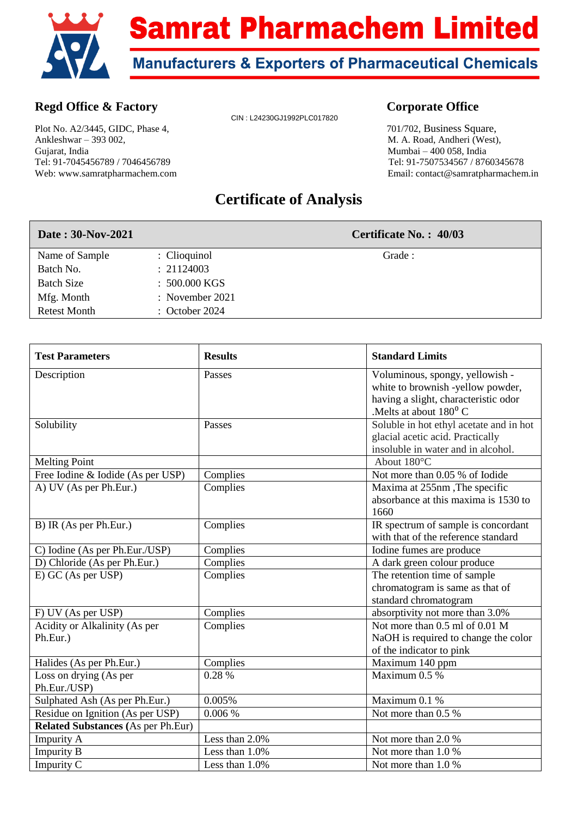

## **Regd Office & Factory Corporate Office**

Plot No. A2/3445, GIDC, Phase 4, 701/702, Business Square, Ankleshwar – 393 002, M. A. Road, Andheri (West), Gujarat, India Mumbai – 400 058, India Tel: 91-7045456789 / 7046456789 Tel: 91-7507534567 / 8760345678

CIN : L24230GJ1992PLC017820

Web: www.samratpharmachem.com Email: contact@samratpharmachem.in

## **Certificate of Analysis**

| Date: 30-Nov-2021   |                           | Certificate No.: 40/03 |
|---------------------|---------------------------|------------------------|
| Name of Sample      | : Clioquinol              | Grade:                 |
| Batch No.           | : 21124003                |                        |
| <b>Batch Size</b>   | $: 500.000 \text{ KGS}$   |                        |
| Mfg. Month          | : November $2021$         |                        |
| <b>Retest Month</b> | $\therefore$ October 2024 |                        |

| <b>Test Parameters</b>                    | <b>Results</b> | <b>Standard Limits</b>                                                                                                                             |
|-------------------------------------------|----------------|----------------------------------------------------------------------------------------------------------------------------------------------------|
| Description                               | Passes         | Voluminous, spongy, yellowish -<br>white to brownish -yellow powder,<br>having a slight, characteristic odor<br>.Melts at about 180 <sup>0</sup> C |
| Solubility                                | Passes         | Soluble in hot ethyl acetate and in hot<br>glacial acetic acid. Practically<br>insoluble in water and in alcohol.                                  |
| <b>Melting Point</b>                      |                | About 180°C                                                                                                                                        |
| Free Iodine & Iodide (As per USP)         | Complies       | Not more than 0.05 % of Iodide                                                                                                                     |
| A) UV (As per Ph.Eur.)                    | Complies       | Maxima at 255nm, The specific<br>absorbance at this maxima is 1530 to<br>1660                                                                      |
| B) IR (As per Ph.Eur.)                    | Complies       | IR spectrum of sample is concordant<br>with that of the reference standard                                                                         |
| C) Iodine (As per Ph.Eur./USP)            | Complies       | Iodine fumes are produce                                                                                                                           |
| D) Chloride (As per Ph.Eur.)              | Complies       | A dark green colour produce                                                                                                                        |
| E) GC (As per USP)                        | Complies       | The retention time of sample<br>chromatogram is same as that of<br>standard chromatogram                                                           |
| F) UV (As per USP)                        | Complies       | absorptivity not more than 3.0%                                                                                                                    |
| Acidity or Alkalinity (As per<br>Ph.Eur.) | Complies       | Not more than 0.5 ml of 0.01 M<br>NaOH is required to change the color<br>of the indicator to pink                                                 |
| Halides (As per Ph.Eur.)                  | Complies       | Maximum 140 ppm                                                                                                                                    |
| Loss on drying (As per<br>Ph.Eur./USP)    | 0.28 %         | Maximum 0.5 %                                                                                                                                      |
| Sulphated Ash (As per Ph.Eur.)            | 0.005%         | Maximum 0.1 %                                                                                                                                      |
| Residue on Ignition (As per USP)          | 0.006 %        | Not more than 0.5 %                                                                                                                                |
| <b>Related Substances (As per Ph.Eur)</b> |                |                                                                                                                                                    |
| <b>Impurity A</b>                         | Less than 2.0% | Not more than 2.0 %                                                                                                                                |
| <b>Impurity B</b>                         | Less than 1.0% | Not more than 1.0 %                                                                                                                                |
| Impurity C                                | Less than 1.0% | Not more than 1.0 %                                                                                                                                |